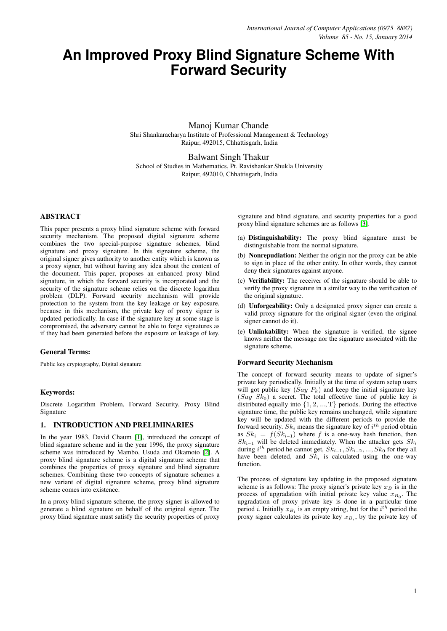# **An Improved Proxy Blind Signature Scheme With Forward Security**

Manoj Kumar Chande Shri Shankaracharya Institute of Professional Management & Technology Raipur, 492015, Chhattisgarh, India

Balwant Singh Thakur School of Studies in Mathematics, Pt. Ravishankar Shukla University Raipur, 492010, Chhattisgarh, India

# ABSTRACT

This paper presents a proxy blind signature scheme with forward security mechanism. The proposed digital signature scheme combines the two special-purpose signature schemes, blind signature and proxy signature. In this signature scheme, the original signer gives authority to another entity which is known as a proxy signer, but without having any idea about the content of the document. This paper, proposes an enhanced proxy blind signature, in which the forward security is incorporated and the security of the signature scheme relies on the discrete logarithm problem (DLP). Forward security mechanism will provide protection to the system from the key leakage or key exposure, because in this mechanism, the private key of proxy signer is updated periodically. In case if the signature key at some stage is compromised, the adversary cannot be able to forge signatures as if they had been generated before the exposure or leakage of key.

# General Terms:

Public key cryptography, Digital signature

## Keywords:

Discrete Logarithm Problem, Forward Security, Proxy Blind Signature

# 1. INTRODUCTION AND PRELIMINARIES

In the year 1983, David Chaum [\[1\]](#page-3-0), introduced the concept of blind signature scheme and in the year 1996, the proxy signature scheme was introduced by Mambo, Usuda and Okamoto [\[2\]](#page-3-1). A proxy blind signature scheme is a digital signature scheme that combines the properties of proxy signature and blind signature schemes. Combining these two concepts of signature schemes a new variant of digital signature scheme, proxy blind signature scheme comes into existence.

In a proxy blind signature scheme, the proxy signer is allowed to generate a blind signature on behalf of the original signer. The proxy blind signature must satisfy the security properties of proxy

signature and blind signature, and security properties for a good proxy blind signature schemes are as follows [\[3\]](#page-3-2).

- (a) Distinguishability: The proxy blind signature must be distinguishable from the normal signature.
- (b) Nonrepudiation: Neither the origin nor the proxy can be able to sign in place of the other entity. In other words, they cannot deny their signatures against anyone.
- (c) Verifiability: The receiver of the signature should be able to verify the proxy signature in a similar way to the verification of the original signature.
- (d) Unforgeability: Only a designated proxy signer can create a valid proxy signature for the original signer (even the original signer cannot do it).
- (e) Unlinkability: When the signature is verified, the signee knows neither the message nor the signature associated with the signature scheme.

#### Forward Security Mechanism

The concept of forward security means to update of signer's private key periodically. Initially at the time of system setup users will got public key  $(Say P_k)$  and keep the initial signature key  $(Say \; Sk<sub>0</sub>)$  a secret. The total effective time of public key is distributed equally into  $\{1, 2, ..., T\}$  periods. During the effective signature time, the public key remains unchanged, while signature key will be updated with the different periods to provide the forward security.  $Sk_i$  means the signature key of  $i^{th}$  period obtain as  $Sk_i = f(Sk_{i-1})$  where f is a one-way hash function, then  $Sk_{i-1}$  will be deleted immediately. When the attacker gets  $Sk_i$ during  $i^{th}$  period he cannot get,  $Sk_{i-1}, Sk_{i-2}, ..., Sk_0$  for they all have been deleted, and  $Sk_i$  is calculated using the one-way function.

The process of signature key updating in the proposed signature scheme is as follows: The proxy signer's private key  $x_B$  is in the process of upgradation with initial private key value  $x_{B_0}$ . The upgradation of proxy private key is done in a particular time period *i*. Initially  $x_{B_i}$  is an empty string, but for the  $i^{th}$  period the proxy signer calculates its private key  $x_{B_i}$ , by the private key of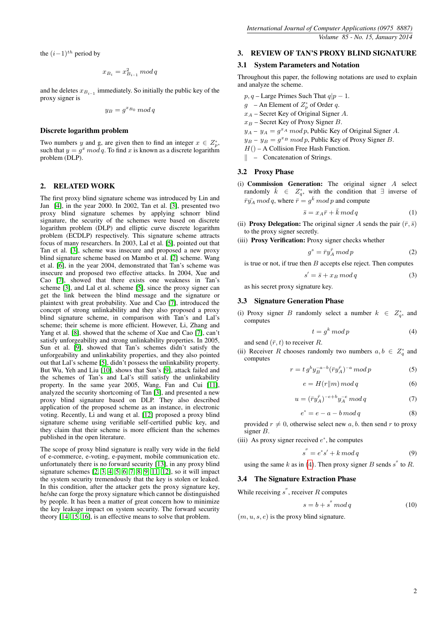the  $(i-1)$ <sup>th</sup> period by

$$
x_{B_i} = x_{B_{i-1}}^2 \bmod q
$$

and he deletes  $x_{B_{i-1}}$  immediately. So initially the public key of the proxy signer is

$$
y_B = g^{x_{B_0}} \mod q
$$

## Discrete logarithm problem

Two numbers y and g, are given then to find an integer  $x \in Z_p^*$ , such that  $y = g^x \mod q$ . To find x is known as a discrete logarithm problem (DLP).

## 2. RELATED WORK

The first proxy blind signature scheme was introduced by Lin and Jan [\[4\]](#page-3-3), in the year 2000. In 2002, Tan et al. [\[3\]](#page-3-2), presented two proxy blind signature schemes by applying schnorr blind signature, the security of the schemes were based on discrete logarithm problem (DLP) and elliptic curve discrete logarithm problem (ECDLP) respectively. This signature scheme attracts focus of many researchers. In 2003, Lal et al. [\[5\]](#page-3-4), pointed out that Tan et al. [\[3\]](#page-3-2), scheme was insecure and proposed a new proxy blind signature scheme based on Mambo et al. [\[2\]](#page-3-1) scheme. Wang et al. [\[6\]](#page-3-5), in the year 2004, demonstrated that Tan's scheme was insecure and proposed two effective attacks. In 2004, Xue and Cao [\[7\]](#page-3-6), showed that there exists one weakness in Tan's scheme [\[3\]](#page-3-2), and Lal et al. scheme [\[5\]](#page-3-4), since the proxy signer can get the link between the blind message and the signature or plaintext with great probability. Xue and Cao [\[7\]](#page-3-6), introduced the concept of strong unlinkability and they also proposed a proxy blind signature scheme, in comparison with Tan's and Lal's scheme; their scheme is more efficient. However, Li, Zhang and Yang et al. [\[8\]](#page-3-7), showed that the scheme of Xue and Cao [\[7\]](#page-3-6), can't satisfy unforgeability and strong unlinkability properties. In 2005, Sun et al. [\[9\]](#page-3-8), showed that Tan's schemes didn't satisfy the unforgeability and unlinkability properties, and they also pointed out that Lal's scheme [\[5\]](#page-3-4), didn't possess the unlinkability property. But Wu, Yeh and Liu [\[10\]](#page-3-9), shows that Sun's [\[9\]](#page-3-8), attack failed and the schemes of Tan's and Lal's still satisfy the unlinkability property. In the same year 2005, Wang, Fan and Cui [\[11\]](#page-3-10), analyzed the security shortcoming of Tan [\[3\]](#page-3-2), and presented a new proxy blind signature based on DLP. They also described application of the proposed scheme as an instance, in electronic voting. Recently, Li and wang et al. [\[12\]](#page-3-11) proposed a proxy blind signature scheme using verifiable self-certified public key, and they claim that their scheme is more efficient than the schemes published in the open literature.

The scope of proxy blind signature is really very wide in the field of e-commerce, e-voting, e-payment, mobile communication etc. unfortunately there is no forward security [\[13\]](#page-3-12), in any proxy blind signature schemes [\[2,](#page-3-1) [3,](#page-3-2) [4,](#page-3-3) [5,](#page-3-4) [6,](#page-3-5) [7,](#page-3-6) [8,](#page-3-7) [9,](#page-3-8) [11,](#page-3-10) [12\]](#page-3-11), so it will impact the system security tremendously that the key is stolen or leaked. In this condition, after the attacker gets the proxy signature key, he/she can forge the proxy signature which cannot be distinguished by people. It has been a matter of great concern how to minimize the key leakage impact on system security. The forward security theory [\[14,](#page-3-13) [15,](#page-3-14) [16\]](#page-3-15), is an effective means to solve that problem.

# 3. REVIEW OF TAN'S PROXY BLIND SIGNATURE

## 3.1 System Parameters and Notation

Throughout this paper, the following notations are used to explain and analyze the scheme.

- $p, q$  Large Primes Such That  $q|p-1$ .
- $g$  An Element of  $Z_p^*$  of Order q.
- $x_A$  Secret Key of Original Signer A.
- $x_B$  Secret Key of Proxy Signer B.
- $y_A y_A = g^{x_A} \mod p$ , Public Key of Original Signer A.
- $y_B y_B = g^{x_B} \mod p$ , Public Key of Proxy Signer B.
- $H()$  A Collision Free Hash Function.

 $\parallel$  – Concatenation of Strings.

#### 3.2 Proxy Phase

(i) Commission Generation: The original signer A select randomly  $\bar{k} \in Z_q^*$ , with the condition that  $\exists$  inverse of  $\bar{r}\bar{y_A} \mod q$ , where  $\bar{r} = g^{\bar{k}} \mod p$  and compute

<span id="page-1-2"></span>
$$
\bar{s} = x_A \bar{r} + \bar{k} \mod q \tag{1}
$$

(ii) **Proxy Delegation:** The original signer A sends the pair  $(\bar{r}, \bar{s})$ to the proxy signer secretly.

(iii) Proxy Verification: Proxy signer checks whether

s

$$
g^s = \bar{r}y_A^{\bar{r}} \bmod p \tag{2}
$$

is true or not, if true then  $B$  accepts else reject. Then computes

$$
{}' = \bar{s} + x_B \mod q \tag{3}
$$

as his secret proxy signature key.

## 3.3 Signature Generation Phase

(i) Proxy signer B randomly select a number  $k \in Z_q^*$ , and computes

<span id="page-1-0"></span>
$$
t = g^k \bmod p \tag{4}
$$

and send  $(\bar{r}, t)$  to receiver R.

(ii) Receiver R chooses randomly two numbers  $a, b \in Z_q^*$  and computes

$$
r = t g^b y_B^{-a-b} (\bar{r} y_A^{\bar{r}})^{-a} \bmod p \tag{5}
$$

<span id="page-1-1"></span>
$$
e = H(r||m) \bmod q \tag{6}
$$

$$
u = (\bar{r}y_A^{\bar{r}})^{-e+b}y_A^{-e} \mod q \tag{7}
$$

$$
e^* = e - a - b \mod q \tag{8}
$$

provided  $r \neq 0$ , otherwise select new a, b. then send r to proxy signer B.

(iii) As proxy signer received  $e^*$ , he computes

$$
s^{''} = e^*s' + k \mod q \tag{9}
$$

using the same k as in [\(4\)](#page-1-0). Then proxy signer B sends  $s''$  to R.

# 3.4 The Signature Extraction Phase

While receiving  $s''$ , receiver  $R$  computes

<span id="page-1-3"></span>
$$
s = b + s'' \bmod q \tag{10}
$$

 $(m, u, s, e)$  is the proxy blind signature.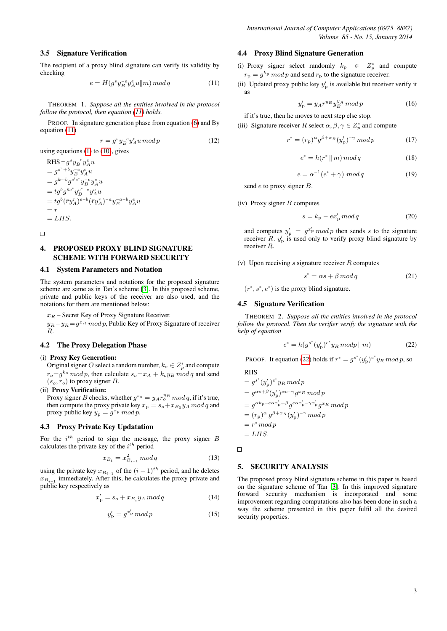# 3.5 Signature Verification

The recipient of a proxy blind signature can verify its validity by checking

<span id="page-2-0"></span>
$$
e = H(g^s y_B^{-e} y_A^e u \Vert m) \bmod q \tag{11}
$$

THEOREM 1. *Suppose all the entities involved in the protocol follow the protocol, then equation [\(11\)](#page-2-0) holds.*

PROOF. In signature generation phase from equation [\(6\)](#page-1-1) and By equation [\(11\)](#page-2-0)

$$
r = g^s y_B^{-e} y_A^e u \bmod p \tag{12}
$$

using equations  $(1)$  to  $(10)$ , gives

$$
\begin{array}{l} \text{RHS} = g^s y_B^{-e} y_A^e u \\ = g^{s^*+b} y_B^{-e} y_A^e u \\ = g^{k+b} g^{s'e^*} y_B^{-e} y_A^e u \\ = t g^b g^{\bar{s}e^*} y_B^{e^* - e} y_A^e u \\ = t g^b (\bar{r} y_A^{\bar{r}})^{e-b} (\bar{r} y_A^{\bar{r}})^{-a} y_B^{-a-b} y_A^e u \\ = r \\ = LHS. \end{array}
$$

 $\Box$ 

# 4. PROPOSED PROXY BLIND SIGNATURE SCHEME WITH FORWARD SECURITY

### 4.1 System Parameters and Notation

The system parameters and notations for the proposed signature scheme are same as in Tan's scheme [\[3\]](#page-3-2). In this proposed scheme, private and public keys of the receiver are also used, and the notations for them are mentioned below:

 $x_R$  – Secret Key of Proxy Signature Receiver.

 $y_R - y_R = g^{x_R} \mod p$ , Public Key of Proxy Signature of receiver R.

# 4.2 The Proxy Delegation Phase

# (i) Proxy Key Generation:

Original signer O select a random number,  $k_o \in Z_p^*$  and compute  $r_o = g^{k_o} \mod p$ , then calculate  $s_o = x_A + k_o y_B \mod q$  and send  $(s_o, r_o)$  to proxy signer B.

(ii) Proxy Verification:

Proxy signer B checks, whether  $g^{s_o} = y_A r_o^{y_B} \mod q$ , if it's true, then compute the proxy private key  $x_p = s_o + x_{B_0}y_A \mod q$  and proxy public key  $y_{\rm p} = g^{x_{\rm p}}$  mod p.

## 4.3 Proxy Private Key Updatation

For the  $i^{th}$  period to sign the message, the proxy signer B calculates the private key of the  $i^{th}$  period

<span id="page-2-4"></span>
$$
x_{B_i} = x_{B_{i-1}}^2 \mod q \tag{13}
$$

using the private key  $x_{B_{i-1}}$  of the  $(i-1)^{th}$  period, and he deletes  $x_{B_{i-1}}$  immediately. After this, he calculates the proxy private and public key respectively as

$$
x'_{\rm p} = s_o + x_{B_i} y_A \bmod q \tag{14}
$$

$$
y'_{\rm p} = g^{x'_{\rm p}} \bmod p \tag{15}
$$

# 4.4 Proxy Blind Signature Generation

(i) Proxy signer select randomly  $k_{\rm p} \in Z_p^*$  and compute  $r_{\rm p} = g^{k_{\rm p}}$  mod p and send  $r_{\rm p}$  to the signature receiver.

(ii) Updated proxy public key  $y'_p$  is available but receiver verify it as

<span id="page-2-2"></span>
$$
y'_{\rm p} = y_A r^{y_B} y_B^{y_A} \bmod p \tag{16}
$$

if it's true, then he moves to next step else stop.

(iii) Signature receiver R select  $\alpha, \beta, \gamma \in Z_p^*$  and compute

$$
r^* = (r_{\rm p})^{\alpha} g^{\beta + x_R} (y_{\rm p}')^{-\gamma} \bmod p \tag{17}
$$

$$
e^* = h(r^* \mid m) \mod q \tag{18}
$$

$$
e = \alpha^{-1}(e^* + \gamma) \mod q \tag{19}
$$

send  $e$  to proxy signer  $B$ .

#### (iv) Proxy signer  $B$  computes

$$
s = k_{\rm p} - e x_{\rm p}' \bmod q \tag{20}
$$

and computes  $y'_{\rm p} = g^{x'_{\rm p}} \mod p$  then sends s to the signature receiver  $\overline{R}$ .  $y'_p$  is used only to verify proxy blind signature by receiver R.

(v) Upon receiving s signature receiver  $R$  computes

<span id="page-2-3"></span>
$$
s^* = \alpha s + \beta \mod q \tag{21}
$$

 $(r^*, s^*, e^*)$  is the proxy blind signature.

#### 4.5 Signature Verification

THEOREM 2. *Suppose all the entities involved in the protocol follow the protocol. Then the verifier verify the signature with the help of equation*

<span id="page-2-1"></span>
$$
e^* = h(g^{s^*}(y_p')^{e^*} y_R \bmod p \, \| \, m)
$$
 (22)

PROOF. It equation [\(22\)](#page-2-1) holds if  $r^* = g^{s^*}(y_p')^{e^*} y_R \mod p$ , so

RHS

$$
= g^{s^*}(y'_p)^{e^*} y_R \bmod p
$$
  
\n
$$
= g^{\alpha s + \beta} (y'_p)^{\alpha e - \gamma} g^{x_R} \bmod p
$$
  
\n
$$
= g^{\alpha k_p - e\alpha x'_p + \beta} g^{e\alpha x'_p - \gamma x'_p} g^{x_R} \bmod p
$$
  
\n
$$
= (r_p)^{\alpha} g^{\beta + x_R}(y'_p)^{-\gamma} \bmod p
$$
  
\n
$$
= r^* \bmod p
$$
  
\n
$$
= LHS.
$$

 $\Box$ 

# 5. SECURITY ANALYSIS

The proposed proxy blind signature scheme in this paper is based on the signature scheme of Tan [\[3\]](#page-3-2). In this improved signature forward security mechanism is incorporated and some improvement regarding computations also has been done in such a way the scheme presented in this paper fulfil all the desired security properties.